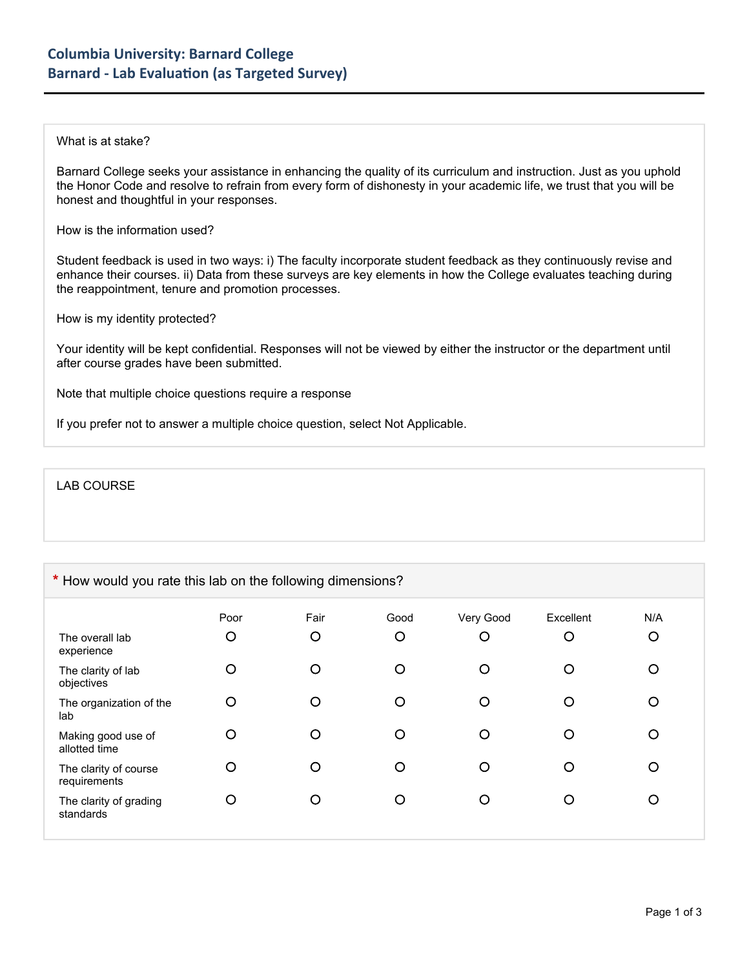## What is at stake?

Barnard College seeks your assistance in enhancing the quality of its curriculum and instruction. Just as you uphold the Honor Code and resolve to refrain from every form of dishonesty in your academic life, we trust that you will be honest and thoughtful in your responses.

How is the information used?

Student feedback is used in two ways: i) The faculty incorporate student feedback as they continuously revise and enhance their courses. ii) Data from these surveys are key elements in how the College evaluates teaching during the reappointment, tenure and promotion processes.

How is my identity protected?

Your identity will be kept confidential. Responses will not be viewed by either the instructor or the department until after course grades have been submitted.

Note that multiple choice questions require a response

If you prefer not to answer a multiple choice question, select Not Applicable.

LAB COURSE

## **\*** How would you rate this lab on the following dimensions?

|                                       | Poor | Fair | Good    | Very Good | Excellent | N/A |
|---------------------------------------|------|------|---------|-----------|-----------|-----|
| The overall lab<br>experience         | O    | O    | $\circ$ | O         | O         | O   |
| The clarity of lab<br>objectives      | O    | O    | O       | O         | ∩         | ∩   |
| The organization of the<br>lab        | O    | O    | O       | O         |           | Ω   |
| Making good use of<br>allotted time   | O    | О    | O       | O         |           | Ω   |
| The clarity of course<br>requirements | O    | О    | O       | O         | ∩         | O   |
| The clarity of grading<br>standards   | O    | О    | O       | Ω         | ∩         | O   |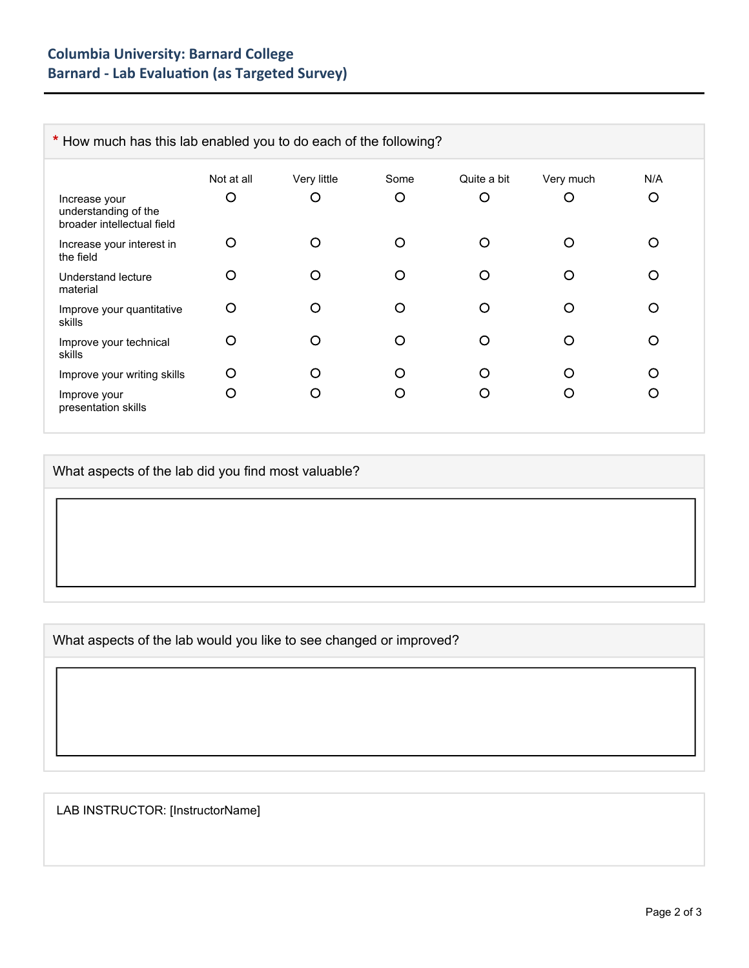| * How much has this lab enabled you to do each of the following?    |            |             |      |             |           |     |
|---------------------------------------------------------------------|------------|-------------|------|-------------|-----------|-----|
|                                                                     | Not at all | Very little | Some | Quite a bit | Very much | N/A |
| Increase your<br>understanding of the<br>broader intellectual field | O          | O           | O    | O           | O         | O   |
| Increase your interest in<br>the field                              | O          | O           | O    | O           | O         | ∩   |
| Understand lecture<br>material                                      | O          | O           | ∩    | ∩           | O         | ∩   |
| Improve your quantitative<br>skills                                 | O          | O           | ∩    | O           | O         | ∩   |
| Improve your technical<br>skills                                    | O          | O           | O    | ∩           | ∩         | ∩   |
| Improve your writing skills                                         | O          | O           | ∩    | ∩           | ∩         | ∩   |
| Improve your<br>presentation skills                                 | O          | O           | O    | O           | ( )       | Ω   |

What aspects of the lab did you find most valuable?

What aspects of the lab would you like to see changed or improved?

LAB INSTRUCTOR: [InstructorName]